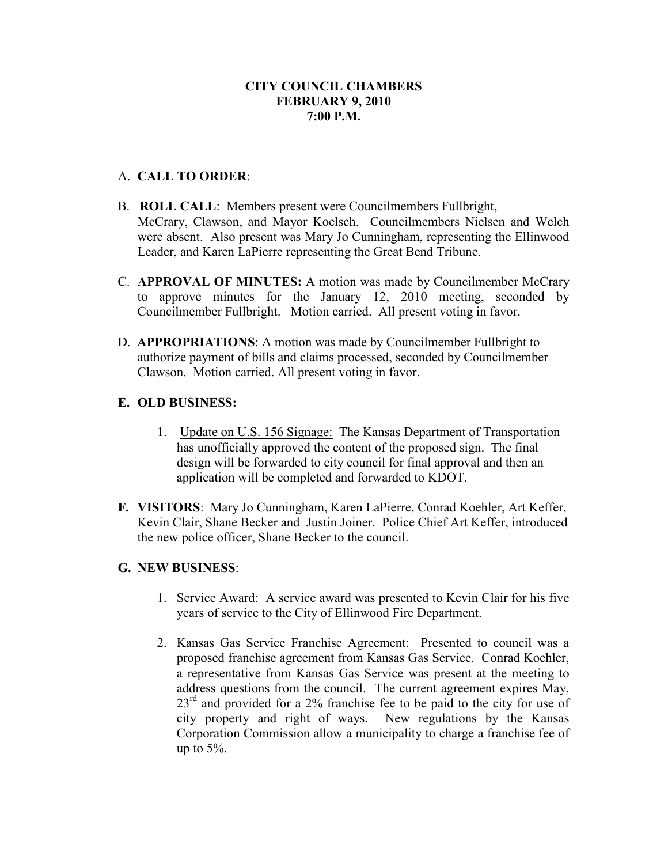### **CITY COUNCIL CHAMBERS FEBRUARY 9, 2010 7:00 P.M.**

#### A. **CALL TO ORDER**:

- B. **ROLL CALL**: Members present were Councilmembers Fullbright, McCrary, Clawson, and Mayor Koelsch. Councilmembers Nielsen and Welch were absent. Also present was Mary Jo Cunningham, representing the Ellinwood Leader, and Karen LaPierre representing the Great Bend Tribune.
- C. **APPROVAL OF MINUTES:** A motion was made by Councilmember McCrary to approve minutes for the January 12, 2010 meeting, seconded by Councilmember Fullbright. Motion carried. All present voting in favor.
- D. **APPROPRIATIONS**: A motion was made by Councilmember Fullbright to authorize payment of bills and claims processed, seconded by Councilmember Clawson. Motion carried. All present voting in favor.

#### **E. OLD BUSINESS:**

- 1. Update on U.S. 156 Signage: The Kansas Department of Transportation has unofficially approved the content of the proposed sign. The final design will be forwarded to city council for final approval and then an application will be completed and forwarded to KDOT.
- **F. VISITORS**: Mary Jo Cunningham, Karen LaPierre, Conrad Koehler, Art Keffer, Kevin Clair, Shane Becker and Justin Joiner. Police Chief Art Keffer, introduced the new police officer, Shane Becker to the council.

#### **G. NEW BUSINESS**:

- 1. Service Award: A service award was presented to Kevin Clair for his five years of service to the City of Ellinwood Fire Department.
- 2. Kansas Gas Service Franchise Agreement: Presented to council was a proposed franchise agreement from Kansas Gas Service. Conrad Koehler, a representative from Kansas Gas Service was present at the meeting to address questions from the council. The current agreement expires May, 23<sup>rd</sup> and provided for a 2% franchise fee to be paid to the city for use of city property and right of ways. New regulations by the Kansas Corporation Commission allow a municipality to charge a franchise fee of up to  $5\%$ .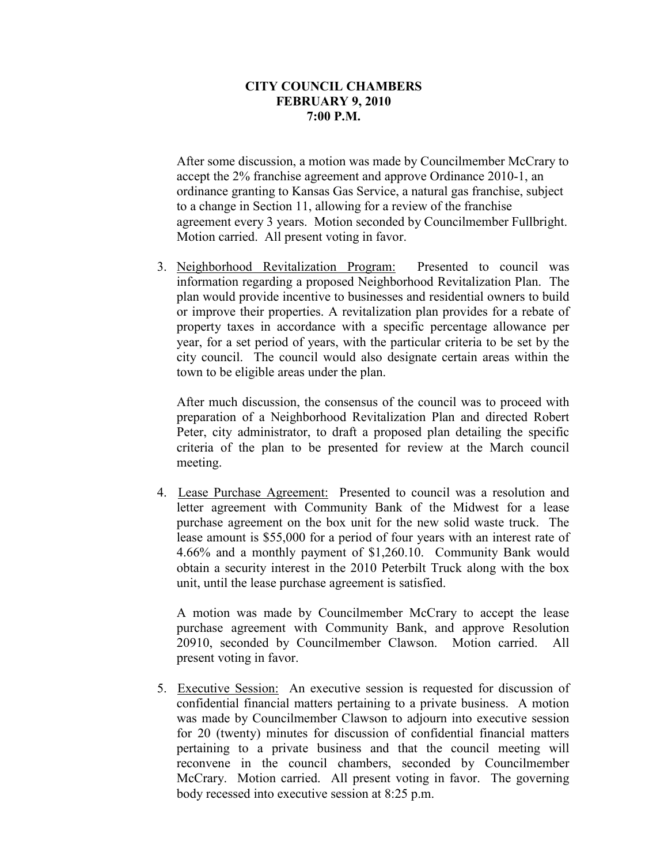#### **CITY COUNCIL CHAMBERS FEBRUARY 9, 2010 7:00 P.M.**

After some discussion, a motion was made by Councilmember McCrary to accept the 2% franchise agreement and approve Ordinance 2010-1, an ordinance granting to Kansas Gas Service, a natural gas franchise, subject to a change in Section 11, allowing for a review of the franchise agreement every 3 years. Motion seconded by Councilmember Fullbright. Motion carried. All present voting in favor.

3. Neighborhood Revitalization Program: Presented to council was information regarding a proposed Neighborhood Revitalization Plan. The plan would provide incentive to businesses and residential owners to build or improve their properties. A revitalization plan provides for a rebate of property taxes in accordance with a specific percentage allowance per year, for a set period of years, with the particular criteria to be set by the city council. The council would also designate certain areas within the town to be eligible areas under the plan.

After much discussion, the consensus of the council was to proceed with preparation of a Neighborhood Revitalization Plan and directed Robert Peter, city administrator, to draft a proposed plan detailing the specific criteria of the plan to be presented for review at the March council meeting.

4. Lease Purchase Agreement: Presented to council was a resolution and letter agreement with Community Bank of the Midwest for a lease purchase agreement on the box unit for the new solid waste truck. The lease amount is \$55,000 for a period of four years with an interest rate of 4.66% and a monthly payment of \$1,260.10. Community Bank would obtain a security interest in the 2010 Peterbilt Truck along with the box unit, until the lease purchase agreement is satisfied.

 A motion was made by Councilmember McCrary to accept the lease purchase agreement with Community Bank, and approve Resolution 20910, seconded by Councilmember Clawson. Motion carried. All present voting in favor.

5. Executive Session: An executive session is requested for discussion of confidential financial matters pertaining to a private business. A motion was made by Councilmember Clawson to adjourn into executive session for 20 (twenty) minutes for discussion of confidential financial matters pertaining to a private business and that the council meeting will reconvene in the council chambers, seconded by Councilmember McCrary. Motion carried. All present voting in favor. The governing body recessed into executive session at 8:25 p.m.